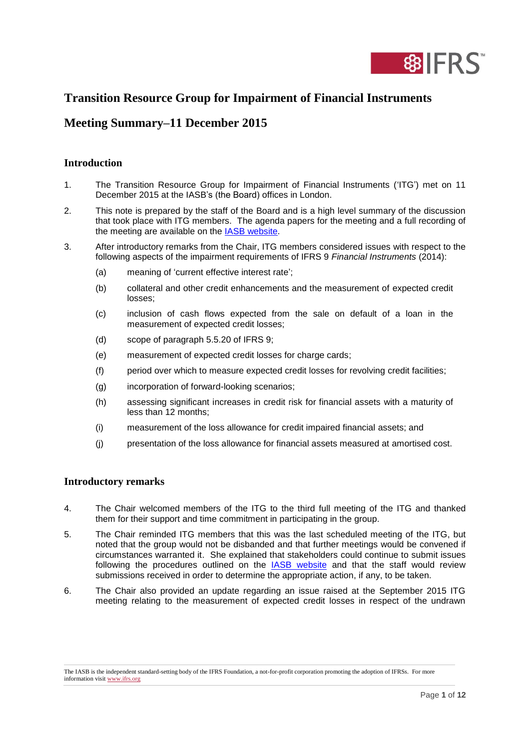

# **Transition Resource Group for Impairment of Financial Instruments**

# **Meeting Summary–11 December 2015**

## **Introduction**

- 1. The Transition Resource Group for Impairment of Financial Instruments ('ITG') met on 11 December 2015 at the IASB's (the Board) offices in London.
- 2. This note is prepared by the staff of the Board and is a high level summary of the discussion that took place with ITG members. The agenda papers for the meeting and a full recording of the meeting are available on the [IASB website.](http://www.ifrs.org/Meetings/Pages/ITG-meeting-December-2015.aspx)
- 3. After introductory remarks from the Chair, ITG members considered issues with respect to the following aspects of the impairment requirements of IFRS 9 *Financial Instruments* (2014):
	- (a) meaning of 'current effective interest rate';
	- (b) collateral and other credit enhancements and the measurement of expected credit losses;
	- (c) inclusion of cash flows expected from the sale on default of a loan in the measurement of expected credit losses;
	- (d) scope of paragraph 5.5.20 of IFRS 9;
	- (e) measurement of expected credit losses for charge cards;
	- (f) period over which to measure expected credit losses for revolving credit facilities;
	- (g) incorporation of forward-looking scenarios;
	- (h) assessing significant increases in credit risk for financial assets with a maturity of less than 12 months;
	- (i) measurement of the loss allowance for credit impaired financial assets; and
	- (j) presentation of the loss allowance for financial assets measured at amortised cost.

#### **Introductory remarks**

- 4. The Chair welcomed members of the ITG to the third full meeting of the ITG and thanked them for their support and time commitment in participating in the group.
- 5. The Chair reminded ITG members that this was the last scheduled meeting of the ITG, but noted that the group would not be disbanded and that further meetings would be convened if circumstances warranted it. She explained that stakeholders could continue to submit issues following the procedures outlined on the **IASB** website and that the staff would review submissions received in order to determine the appropriate action, if any, to be taken.
- 6. The Chair also provided an update regarding an issue raised at the September 2015 ITG meeting relating to the measurement of expected credit losses in respect of the undrawn

The IASB is the independent standard-setting body of the IFRS Foundation, a not-for-profit corporation promoting the adoption of IFRSs. For more information visi[t www.ifrs.org](http://www.ifrs.org/)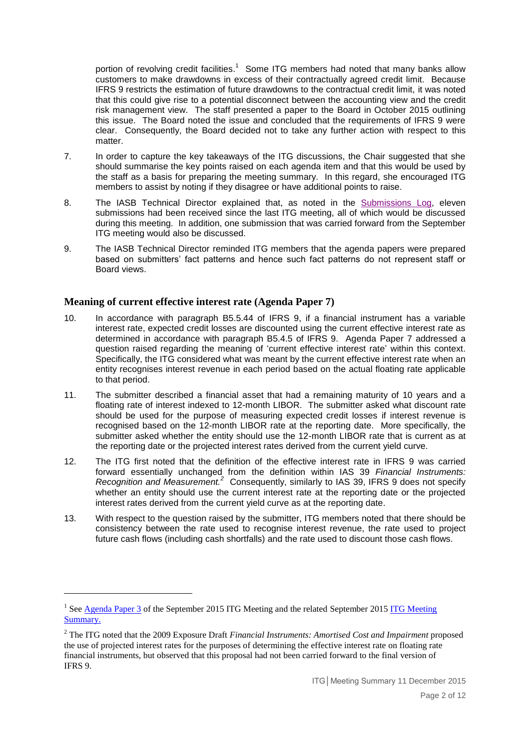portion of revolving credit facilities.<sup>1</sup> Some ITG members had noted that many banks allow customers to make drawdowns in excess of their contractually agreed credit limit. Because IFRS 9 restricts the estimation of future drawdowns to the contractual credit limit, it was noted that this could give rise to a potential disconnect between the accounting view and the credit risk management view. The staff presented a paper to the Board in October 2015 outlining this issue. The Board noted the issue and concluded that the requirements of IFRS 9 were clear. Consequently, the Board decided not to take any further action with respect to this matter.

- 7. In order to capture the key takeaways of the ITG discussions, the Chair suggested that she should summarise the key points raised on each agenda item and that this would be used by the staff as a basis for preparing the meeting summary. In this regard, she encouraged ITG members to assist by noting if they disagree or have additional points to raise.
- 8. The IASB Technical Director explained that, as noted in the [Submissions Log,](http://www.ifrs.org/Meetings/MeetingDocs/Other%20Meeting/2015/December/ITG/ITG-Submission-Log-December-2015.pdf) eleven submissions had been received since the last ITG meeting, all of which would be discussed during this meeting. In addition, one submission that was carried forward from the September ITG meeting would also be discussed.
- 9. The IASB Technical Director reminded ITG members that the agenda papers were prepared based on submitters' fact patterns and hence such fact patterns do not represent staff or Board views.

## **Meaning of current effective interest rate (Agenda Paper 7)**

- 10. In accordance with paragraph B5.5.44 of IFRS 9, if a financial instrument has a variable interest rate, expected credit losses are discounted using the current effective interest rate as determined in accordance with paragraph B5.4.5 of IFRS 9. Agenda Paper 7 addressed a question raised regarding the meaning of 'current effective interest rate' within this context. Specifically, the ITG considered what was meant by the current effective interest rate when an entity recognises interest revenue in each period based on the actual floating rate applicable to that period.
- 11. The submitter described a financial asset that had a remaining maturity of 10 years and a floating rate of interest indexed to 12-month LIBOR. The submitter asked what discount rate should be used for the purpose of measuring expected credit losses if interest revenue is recognised based on the 12-month LIBOR rate at the reporting date. More specifically, the submitter asked whether the entity should use the 12-month LIBOR rate that is current as at the reporting date or the projected interest rates derived from the current yield curve.
- 12. The ITG first noted that the definition of the effective interest rate in IFRS 9 was carried forward essentially unchanged from the definition within IAS 39 *Financial Instruments: Recognition and Measurement. <sup>2</sup>* Consequently, similarly to IAS 39, IFRS 9 does not specify whether an entity should use the current interest rate at the reporting date or the projected interest rates derived from the current yield curve as at the reporting date.
- 13. With respect to the question raised by the submitter, ITG members noted that there should be consistency between the rate used to recognise interest revenue, the rate used to project future cash flows (including cash shortfalls) and the rate used to discount those cash flows.

<sup>&</sup>lt;sup>1</sup> See Agenda Paper  $\frac{3}{2}$  of the September 201[5 ITG Meeting](http://www.ifrs.org/Meetings/MeetingDocs/Other%20Meeting/2015/September/ITG-meeting-summary-16-September-2015.pdf) and the related September 2015 ITG Meeting [Summary.](http://www.ifrs.org/Meetings/MeetingDocs/Other%20Meeting/2015/September/ITG-meeting-summary-16-September-2015.pdf)

<sup>2</sup> The ITG noted that the 2009 Exposure Draft *Financial Instruments: Amortised Cost and Impairment* proposed the use of projected interest rates for the purposes of determining the effective interest rate on floating rate financial instruments, but observed that this proposal had not been carried forward to the final version of IFRS 9.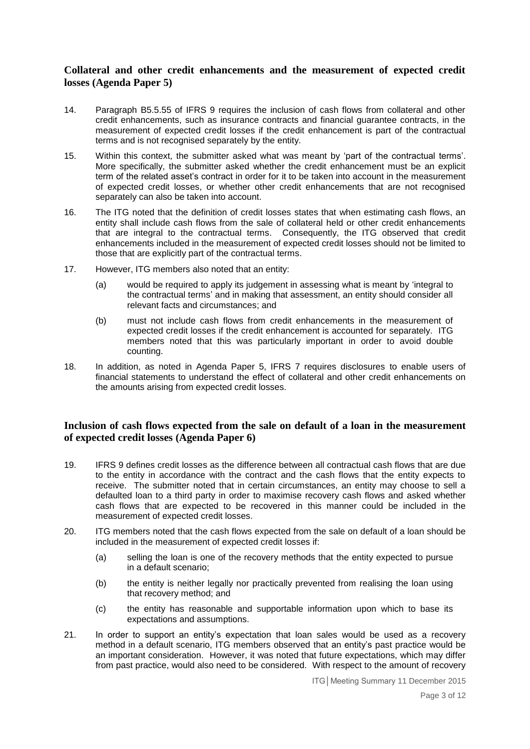## **Collateral and other credit enhancements and the measurement of expected credit losses (Agenda Paper 5)**

- 14. Paragraph B5.5.55 of IFRS 9 requires the inclusion of cash flows from collateral and other credit enhancements, such as insurance contracts and financial guarantee contracts, in the measurement of expected credit losses if the credit enhancement is part of the contractual terms and is not recognised separately by the entity.
- 15. Within this context, the submitter asked what was meant by 'part of the contractual terms'. More specifically, the submitter asked whether the credit enhancement must be an explicit term of the related asset's contract in order for it to be taken into account in the measurement of expected credit losses, or whether other credit enhancements that are not recognised separately can also be taken into account.
- 16. The ITG noted that the definition of credit losses states that when estimating cash flows, an entity shall include cash flows from the sale of collateral held or other credit enhancements that are integral to the contractual terms. Consequently, the ITG observed that credit enhancements included in the measurement of expected credit losses should not be limited to those that are explicitly part of the contractual terms.
- 17. However, ITG members also noted that an entity:
	- (a) would be required to apply its judgement in assessing what is meant by 'integral to the contractual terms' and in making that assessment, an entity should consider all relevant facts and circumstances; and
	- (b) must not include cash flows from credit enhancements in the measurement of expected credit losses if the credit enhancement is accounted for separately. ITG members noted that this was particularly important in order to avoid double counting.
- 18. In addition, as noted in Agenda Paper 5, IFRS 7 requires disclosures to enable users of financial statements to understand the effect of collateral and other credit enhancements on the amounts arising from expected credit losses.

# **Inclusion of cash flows expected from the sale on default of a loan in the measurement of expected credit losses (Agenda Paper 6)**

- 19. IFRS 9 defines credit losses as the difference between all contractual cash flows that are due to the entity in accordance with the contract and the cash flows that the entity expects to receive. The submitter noted that in certain circumstances, an entity may choose to sell a defaulted loan to a third party in order to maximise recovery cash flows and asked whether cash flows that are expected to be recovered in this manner could be included in the measurement of expected credit losses.
- 20. ITG members noted that the cash flows expected from the sale on default of a loan should be included in the measurement of expected credit losses if:
	- (a) selling the loan is one of the recovery methods that the entity expected to pursue in a default scenario;
	- (b) the entity is neither legally nor practically prevented from realising the loan using that recovery method; and
	- (c) the entity has reasonable and supportable information upon which to base its expectations and assumptions.
- 21. In order to support an entity's expectation that loan sales would be used as a recovery method in a default scenario, ITG members observed that an entity's past practice would be an important consideration. However, it was noted that future expectations, which may differ from past practice, would also need to be considered. With respect to the amount of recovery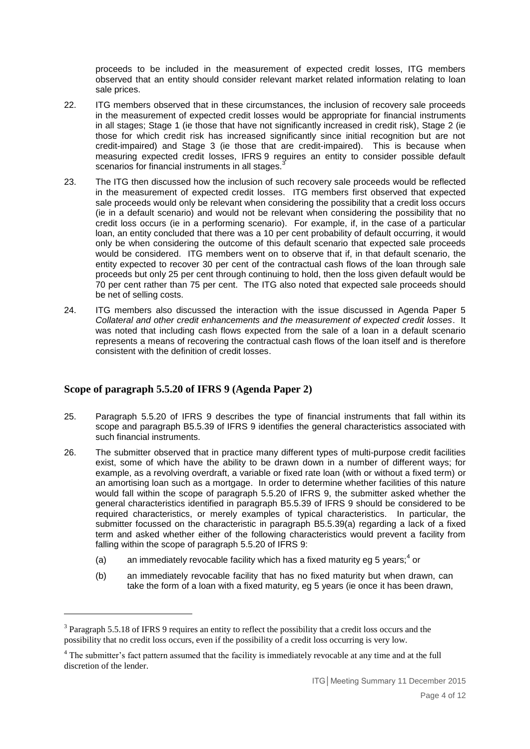proceeds to be included in the measurement of expected credit losses, ITG members observed that an entity should consider relevant market related information relating to loan sale prices.

- 22. ITG members observed that in these circumstances, the inclusion of recovery sale proceeds in the measurement of expected credit losses would be appropriate for financial instruments in all stages; Stage 1 (ie those that have not significantly increased in credit risk), Stage 2 (ie those for which credit risk has increased significantly since initial recognition but are not credit-impaired) and Stage 3 (ie those that are credit-impaired). This is because when measuring expected credit losses, IFRS 9 requires an entity to consider possible default scenarios for financial instruments in all stages.<sup>3</sup>
- 23. The ITG then discussed how the inclusion of such recovery sale proceeds would be reflected in the measurement of expected credit losses. ITG members first observed that expected sale proceeds would only be relevant when considering the possibility that a credit loss occurs (ie in a default scenario) and would not be relevant when considering the possibility that no credit loss occurs (ie in a performing scenario). For example, if, in the case of a particular loan, an entity concluded that there was a 10 per cent probability of default occurring, it would only be when considering the outcome of this default scenario that expected sale proceeds would be considered. ITG members went on to observe that if, in that default scenario, the entity expected to recover 30 per cent of the contractual cash flows of the loan through sale proceeds but only 25 per cent through continuing to hold, then the loss given default would be 70 per cent rather than 75 per cent. The ITG also noted that expected sale proceeds should be net of selling costs.
- 24. ITG members also discussed the interaction with the issue discussed in Agenda Paper 5 *Collateral and other credit enhancements and the measurement of expected credit losses*. It was noted that including cash flows expected from the sale of a loan in a default scenario represents a means of recovering the contractual cash flows of the loan itself and is therefore consistent with the definition of credit losses.

## **Scope of paragraph 5.5.20 of IFRS 9 (Agenda Paper 2)**

<u>.</u>

- 25. Paragraph 5.5.20 of IFRS 9 describes the type of financial instruments that fall within its scope and paragraph B5.5.39 of IFRS 9 identifies the general characteristics associated with such financial instruments.
- 26. The submitter observed that in practice many different types of multi-purpose credit facilities exist, some of which have the ability to be drawn down in a number of different ways; for example, as a revolving overdraft, a variable or fixed rate loan (with or without a fixed term) or an amortising loan such as a mortgage. In order to determine whether facilities of this nature would fall within the scope of paragraph 5.5.20 of IFRS 9, the submitter asked whether the general characteristics identified in paragraph B5.5.39 of IFRS 9 should be considered to be required characteristics, or merely examples of typical characteristics. In particular, the submitter focussed on the characteristic in paragraph B5.5.39(a) regarding a lack of a fixed term and asked whether either of the following characteristics would prevent a facility from falling within the scope of paragraph 5.5.20 of IFRS 9:
	- (a) an immediately revocable facility which has a fixed maturity eg 5 years;<sup>4</sup> or
	- (b) an immediately revocable facility that has no fixed maturity but when drawn, can take the form of a loan with a fixed maturity, eg 5 years (ie once it has been drawn,

<sup>&</sup>lt;sup>3</sup> Paragraph 5.5.18 of IFRS 9 requires an entity to reflect the possibility that a credit loss occurs and the possibility that no credit loss occurs, even if the possibility of a credit loss occurring is very low.

<sup>4</sup> The submitter's fact pattern assumed that the facility is immediately revocable at any time and at the full discretion of the lender.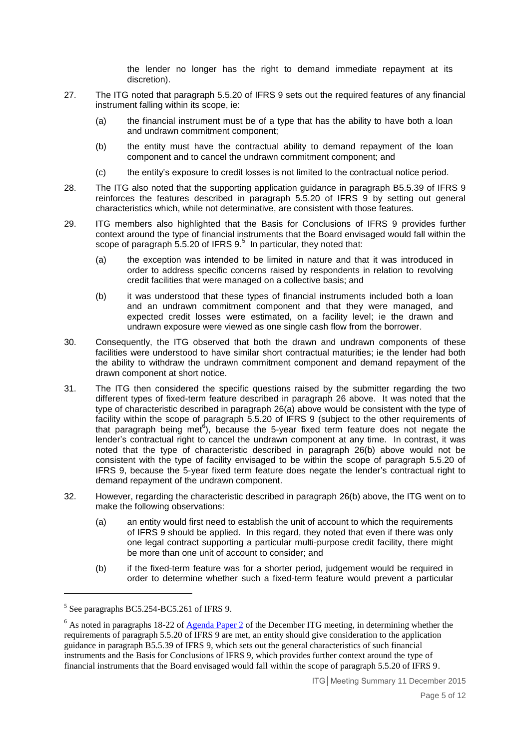the lender no longer has the right to demand immediate repayment at its discretion).

- 27. The ITG noted that paragraph 5.5.20 of IFRS 9 sets out the required features of any financial instrument falling within its scope, ie:
	- (a) the financial instrument must be of a type that has the ability to have both a loan and undrawn commitment component;
	- (b) the entity must have the contractual ability to demand repayment of the loan component and to cancel the undrawn commitment component; and
	- (c) the entity's exposure to credit losses is not limited to the contractual notice period.
- 28. The ITG also noted that the supporting application guidance in paragraph B5.5.39 of IFRS 9 reinforces the features described in paragraph 5.5.20 of IFRS 9 by setting out general characteristics which, while not determinative, are consistent with those features.
- 29. ITG members also highlighted that the Basis for Conclusions of IFRS 9 provides further context around the type of financial instruments that the Board envisaged would fall within the scope of paragraph 5.5.20 of IFRS 9.<sup>5</sup> In particular, they noted that:
	- (a) the exception was intended to be limited in nature and that it was introduced in order to address specific concerns raised by respondents in relation to revolving credit facilities that were managed on a collective basis; and
	- (b) it was understood that these types of financial instruments included both a loan and an undrawn commitment component and that they were managed, and expected credit losses were estimated, on a facility level; ie the drawn and undrawn exposure were viewed as one single cash flow from the borrower.
- 30. Consequently, the ITG observed that both the drawn and undrawn components of these facilities were understood to have similar short contractual maturities; ie the lender had both the ability to withdraw the undrawn commitment component and demand repayment of the drawn component at short notice.
- 31. The ITG then considered the specific questions raised by the submitter regarding the two different types of fixed-term feature described in paragraph 26 above. It was noted that the type of characteristic described in paragraph 26(a) above would be consistent with the type of facility within the scope of paragraph 5.5.20 of IFRS 9 (subject to the other requirements of that paragraph being met<sup>6</sup>), because the 5-year fixed term feature does not negate the lender's contractual right to cancel the undrawn component at any time. In contrast, it was noted that the type of characteristic described in paragraph 26(b) above would not be consistent with the type of facility envisaged to be within the scope of paragraph 5.5.20 of IFRS 9, because the 5-year fixed term feature does negate the lender's contractual right to demand repayment of the undrawn component.
- 32. However, regarding the characteristic described in paragraph 26(b) above, the ITG went on to make the following observations:
	- (a) an entity would first need to establish the unit of account to which the requirements of IFRS 9 should be applied. In this regard, they noted that even if there was only one legal contract supporting a particular multi-purpose credit facility, there might be more than one unit of account to consider; and
	- (b) if the fixed-term feature was for a shorter period, judgement would be required in order to determine whether such a fixed-term feature would prevent a particular

<sup>&</sup>lt;sup>5</sup> See paragraphs BC5.254-BC5.261 of IFRS 9.

 $6$  As noted in paragraphs 18-22 of  $\frac{1}{2}$  [Agenda Paper 2](http://www.ifrs.org/Meetings/MeetingDocs/Other%20Meeting/2015/December/ITG/AP2-Scope-of-paragraph-5520-of-IFRS-9.pdf) of the December ITG meeting, in determining whether the requirements of paragraph 5.5.20 of IFRS 9 are met, an entity should give consideration to the application guidance in paragraph B5.5.39 of IFRS 9, which sets out the general characteristics of such financial instruments and the Basis for Conclusions of IFRS 9, which provides further context around the type of financial instruments that the Board envisaged would fall within the scope of paragraph 5.5.20 of IFRS 9.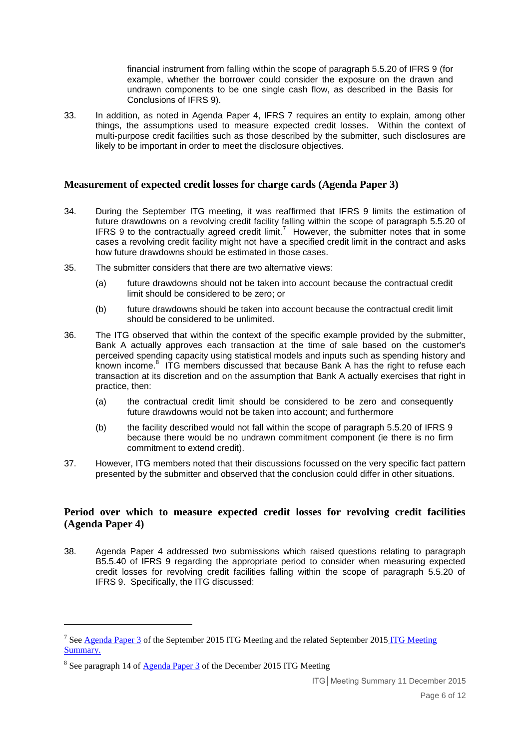financial instrument from falling within the scope of paragraph 5.5.20 of IFRS 9 (for example, whether the borrower could consider the exposure on the drawn and undrawn components to be one single cash flow, as described in the Basis for Conclusions of IFRS 9).

33. In addition, as noted in Agenda Paper 4, IFRS 7 requires an entity to explain, among other things, the assumptions used to measure expected credit losses. Within the context of multi-purpose credit facilities such as those described by the submitter, such disclosures are likely to be important in order to meet the disclosure objectives.

## **Measurement of expected credit losses for charge cards (Agenda Paper 3)**

- 34. During the September ITG meeting, it was reaffirmed that IFRS 9 limits the estimation of future drawdowns on a revolving credit facility falling within the scope of paragraph 5.5.20 of IFRS 9 to the contractually agreed credit  $\lim_{h \to 0}$  However, the submitter notes that in some cases a revolving credit facility might not have a specified credit limit in the contract and asks how future drawdowns should be estimated in those cases.
- 35. The submitter considers that there are two alternative views:
	- (a) future drawdowns should not be taken into account because the contractual credit limit should be considered to be zero; or
	- (b) future drawdowns should be taken into account because the contractual credit limit should be considered to be unlimited.
- 36. The ITG observed that within the context of the specific example provided by the submitter, Bank A actually approves each transaction at the time of sale based on the customer's perceived spending capacity using statistical models and inputs such as spending history and .<br>known income.<sup>8</sup> ITG members discussed that because Bank A has the right to refuse each transaction at its discretion and on the assumption that Bank A actually exercises that right in practice, then:
	- (a) the contractual credit limit should be considered to be zero and consequently future drawdowns would not be taken into account; and furthermore
	- (b) the facility described would not fall within the scope of paragraph 5.5.20 of IFRS 9 because there would be no undrawn commitment component (ie there is no firm commitment to extend credit).
- 37. However, ITG members noted that their discussions focussed on the very specific fact pattern presented by the submitter and observed that the conclusion could differ in other situations.

## **Period over which to measure expected credit losses for revolving credit facilities (Agenda Paper 4)**

38. Agenda Paper 4 addressed two submissions which raised questions relating to paragraph B5.5.40 of IFRS 9 regarding the appropriate period to consider when measuring expected credit losses for revolving credit facilities falling within the scope of paragraph 5.5.20 of IFRS 9. Specifically, the ITG discussed:

<u>.</u>

<sup>&</sup>lt;sup>7</sup> Se[e Agenda Paper 3](http://www.ifrs.org/Meetings/MeetingDocs/Other%20Meeting/2015/September/AP3-Measurement-of-expected-credit-losses-for-revolving-credit-facilities.pdf) of the September 2015 [ITG Meeting](http://www.ifrs.org/Meetings/MeetingDocs/Other%20Meeting/2015/September/ITG-meeting-summary-16-September-2015.pdf) and the related September 2015 ITG Meeting [Summary.](http://www.ifrs.org/Meetings/MeetingDocs/Other%20Meeting/2015/September/ITG-meeting-summary-16-September-2015.pdf)

<sup>&</sup>lt;sup>8</sup> See paragraph 14 of **Agenda Paper 3** of the December 2015 ITG Meeting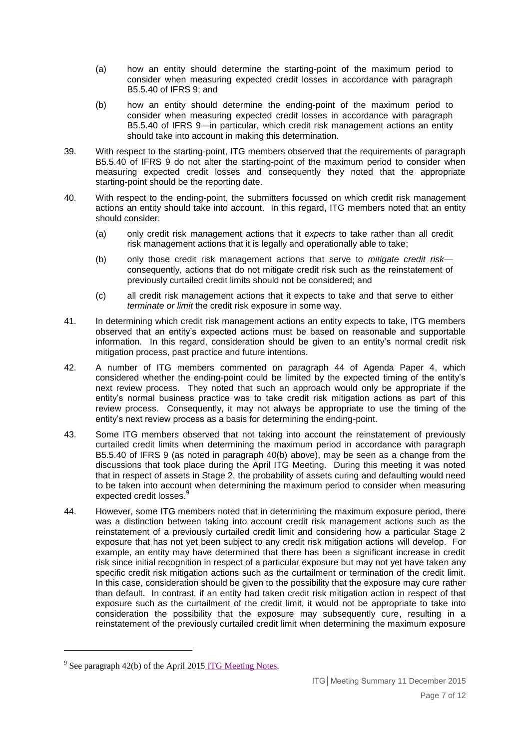- (a) how an entity should determine the starting-point of the maximum period to consider when measuring expected credit losses in accordance with paragraph B5.5.40 of IFRS 9; and
- (b) how an entity should determine the ending-point of the maximum period to consider when measuring expected credit losses in accordance with paragraph B5.5.40 of IFRS 9—in particular, which credit risk management actions an entity should take into account in making this determination.
- 39. With respect to the starting-point, ITG members observed that the requirements of paragraph B5.5.40 of IFRS 9 do not alter the starting-point of the maximum period to consider when measuring expected credit losses and consequently they noted that the appropriate starting-point should be the reporting date.
- 40. With respect to the ending-point, the submitters focussed on which credit risk management actions an entity should take into account. In this regard, ITG members noted that an entity should consider:
	- (a) only credit risk management actions that it *expects* to take rather than all credit risk management actions that it is legally and operationally able to take;
	- (b) only those credit risk management actions that serve to *mitigate credit risk* consequently, actions that do not mitigate credit risk such as the reinstatement of previously curtailed credit limits should not be considered; and
	- (c) all credit risk management actions that it expects to take and that serve to either *terminate or limit* the credit risk exposure in some way.
- 41. In determining which credit risk management actions an entity expects to take, ITG members observed that an entity's expected actions must be based on reasonable and supportable information. In this regard, consideration should be given to an entity's normal credit risk mitigation process, past practice and future intentions.
- 42. A number of ITG members commented on paragraph 44 of Agenda Paper 4, which considered whether the ending-point could be limited by the expected timing of the entity's next review process. They noted that such an approach would only be appropriate if the entity's normal business practice was to take credit risk mitigation actions as part of this review process. Consequently, it may not always be appropriate to use the timing of the entity's next review process as a basis for determining the ending-point.
- 43. Some ITG members observed that not taking into account the reinstatement of previously curtailed credit limits when determining the maximum period in accordance with paragraph B5.5.40 of IFRS 9 (as noted in paragraph 40(b) above), may be seen as a change from the discussions that took place during the April ITG Meeting. During this meeting it was noted that in respect of assets in Stage 2, the probability of assets curing and defaulting would need to be taken into account when determining the maximum period to consider when measuring expected credit losses.<sup>9</sup>
- 44. However, some ITG members noted that in determining the maximum exposure period, there was a distinction between taking into account credit risk management actions such as the reinstatement of a previously curtailed credit limit and considering how a particular Stage 2 exposure that has not yet been subject to any credit risk mitigation actions will develop. For example, an entity may have determined that there has been a significant increase in credit risk since initial recognition in respect of a particular exposure but may not yet have taken any specific credit risk mitigation actions such as the curtailment or termination of the credit limit. In this case, consideration should be given to the possibility that the exposure may cure rather than default. In contrast, if an entity had taken credit risk mitigation action in respect of that exposure such as the curtailment of the credit limit, it would not be appropriate to take into consideration the possibility that the exposure may subsequently cure, resulting in a reinstatement of the previously curtailed credit limit when determining the maximum exposure

<sup>&</sup>lt;sup>9</sup> See paragraph 42(b) of the April 2015 [ITG Meeting Notes.](http://www.ifrs.org/Meetings/MeetingDocs/Other%20Meeting/2015/April/ITG-meeting-summary-22-April-2015.pdf)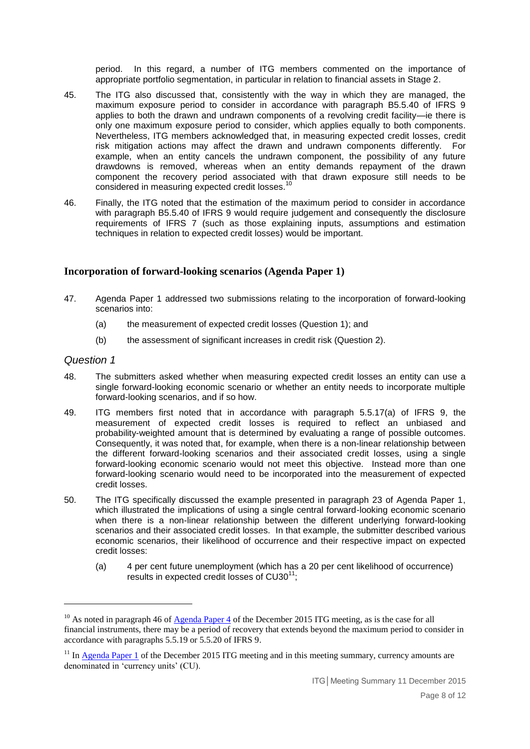period. In this regard, a number of ITG members commented on the importance of appropriate portfolio segmentation, in particular in relation to financial assets in Stage 2.

- 45. The ITG also discussed that, consistently with the way in which they are managed, the maximum exposure period to consider in accordance with paragraph B5.5.40 of IFRS 9 applies to both the drawn and undrawn components of a revolving credit facility—ie there is only one maximum exposure period to consider, which applies equally to both components. Nevertheless, ITG members acknowledged that, in measuring expected credit losses, credit risk mitigation actions may affect the drawn and undrawn components differently. For example, when an entity cancels the undrawn component, the possibility of any future drawdowns is removed, whereas when an entity demands repayment of the drawn component the recovery period associated with that drawn exposure still needs to be considered in measuring expected credit losses.<sup>10</sup>
- 46. Finally, the ITG noted that the estimation of the maximum period to consider in accordance with paragraph B5.5.40 of IFRS 9 would require judgement and consequently the disclosure requirements of IFRS 7 (such as those explaining inputs, assumptions and estimation techniques in relation to expected credit losses) would be important.

## **Incorporation of forward-looking scenarios (Agenda Paper 1)**

- 47. Agenda Paper 1 addressed two submissions relating to the incorporation of forward-looking scenarios into:
	- (a) the measurement of expected credit losses (Question 1); and
	- (b) the assessment of significant increases in credit risk (Question 2).

#### *Question 1*

- 48. The submitters asked whether when measuring expected credit losses an entity can use a single forward-looking economic scenario or whether an entity needs to incorporate multiple forward-looking scenarios, and if so how.
- 49. ITG members first noted that in accordance with paragraph 5.5.17(a) of IFRS 9, the measurement of expected credit losses is required to reflect an unbiased and probability-weighted amount that is determined by evaluating a range of possible outcomes. Consequently, it was noted that, for example, when there is a non-linear relationship between the different forward-looking scenarios and their associated credit losses, using a single forward-looking economic scenario would not meet this objective. Instead more than one forward-looking scenario would need to be incorporated into the measurement of expected credit losses.
- 50. The ITG specifically discussed the example presented in paragraph 23 of Agenda Paper 1, which illustrated the implications of using a single central forward-looking economic scenario when there is a non-linear relationship between the different underlying forward-looking scenarios and their associated credit losses. In that example, the submitter described various economic scenarios, their likelihood of occurrence and their respective impact on expected credit losses:
	- (a) 4 per cent future unemployment (which has a 20 per cent likelihood of occurrence) results in expected credit losses of  $CU30^{11}$ ;

 $10$  As noted in paragraph 46 of [Agenda Paper 4](http://www.ifrs.org/Meetings/MeetingDocs/Other%20Meeting/2015/December/ITG/AP4-Period-over-which-to-measure-ECL-for-RCF.pdf) of the December 2015 ITG meeting, as is the case for all financial instruments, there may be a period of recovery that extends beyond the maximum period to consider in accordance with paragraphs 5.5.19 or 5.5.20 of IFRS 9.

 $11$  In [Agenda Paper 1](http://www.ifrs.org/Meetings/MeetingDocs/Other%20Meeting/2015/December/ITG/AP1-Forward-looking-scenarios.pdf) of the December 2015 ITG meeting and in this meeting summary, currency amounts are denominated in 'currency units' (CU).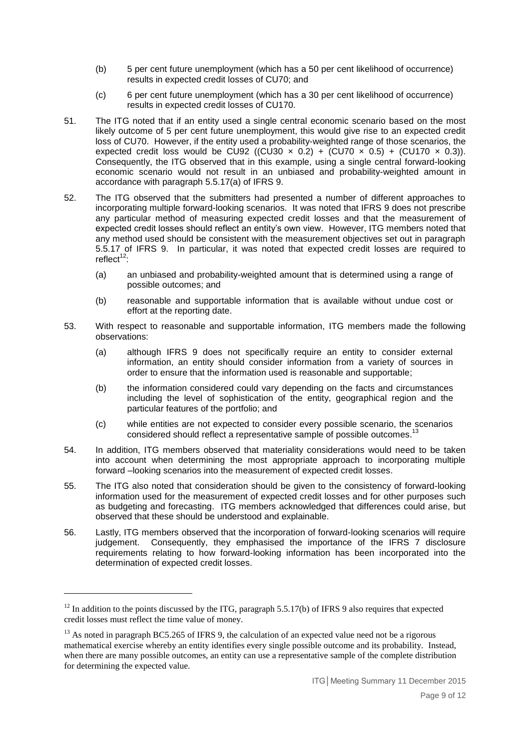- (b) 5 per cent future unemployment (which has a 50 per cent likelihood of occurrence) results in expected credit losses of CU70; and
- (c) 6 per cent future unemployment (which has a 30 per cent likelihood of occurrence) results in expected credit losses of CU170.
- 51. The ITG noted that if an entity used a single central economic scenario based on the most likely outcome of 5 per cent future unemployment, this would give rise to an expected credit loss of CU70. However, if the entity used a probability-weighted range of those scenarios, the expected credit loss would be CU92 ((CU30  $\times$  0.2) + (CU70  $\times$  0.5) + (CU170  $\times$  0.3)). Consequently, the ITG observed that in this example, using a single central forward-looking economic scenario would not result in an unbiased and probability-weighted amount in accordance with paragraph 5.5.17(a) of IFRS 9.
- 52. The ITG observed that the submitters had presented a number of different approaches to incorporating multiple forward-looking scenarios. It was noted that IFRS 9 does not prescribe any particular method of measuring expected credit losses and that the measurement of expected credit losses should reflect an entity's own view. However, ITG members noted that any method used should be consistent with the measurement objectives set out in paragraph 5.5.17 of IFRS 9. In particular, it was noted that expected credit losses are required to  $reflect^{12}$ .
	- (a) an unbiased and probability-weighted amount that is determined using a range of possible outcomes; and
	- (b) reasonable and supportable information that is available without undue cost or effort at the reporting date.
- 53. With respect to reasonable and supportable information, ITG members made the following observations:
	- (a) although IFRS 9 does not specifically require an entity to consider external information, an entity should consider information from a variety of sources in order to ensure that the information used is reasonable and supportable;
	- (b) the information considered could vary depending on the facts and circumstances including the level of sophistication of the entity, geographical region and the particular features of the portfolio; and
	- (c) while entities are not expected to consider every possible scenario, the scenarios considered should reflect a representative sample of possible outcomes.
- 54. In addition, ITG members observed that materiality considerations would need to be taken into account when determining the most appropriate approach to incorporating multiple forward –looking scenarios into the measurement of expected credit losses.
- 55. The ITG also noted that consideration should be given to the consistency of forward-looking information used for the measurement of expected credit losses and for other purposes such as budgeting and forecasting. ITG members acknowledged that differences could arise, but observed that these should be understood and explainable.
- 56. Lastly, ITG members observed that the incorporation of forward-looking scenarios will require judgement. Consequently, they emphasised the importance of the IFRS 7 disclosure requirements relating to how forward-looking information has been incorporated into the determination of expected credit losses.

 $12$  In addition to the points discussed by the ITG, paragraph 5.5.17(b) of IFRS 9 also requires that expected credit losses must reflect the time value of money.

<sup>&</sup>lt;sup>13</sup> As noted in paragraph BC5.265 of IFRS 9, the calculation of an expected value need not be a rigorous mathematical exercise whereby an entity identifies every single possible outcome and its probability. Instead, when there are many possible outcomes, an entity can use a representative sample of the complete distribution for determining the expected value.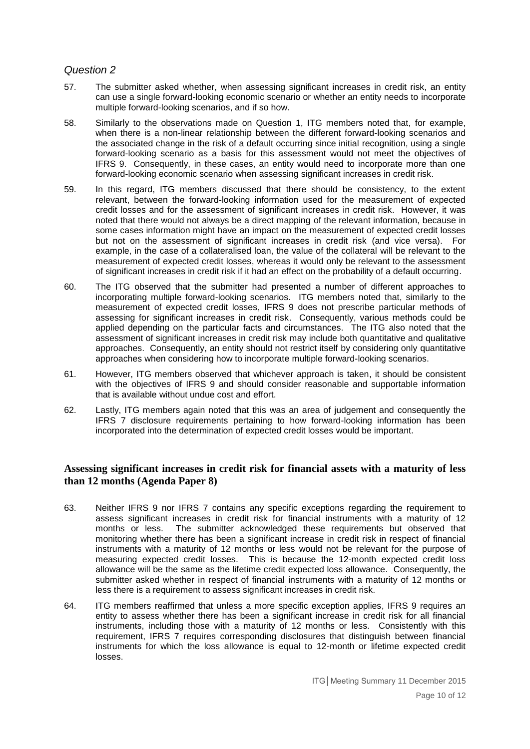## *Question 2*

- 57. The submitter asked whether, when assessing significant increases in credit risk, an entity can use a single forward-looking economic scenario or whether an entity needs to incorporate multiple forward-looking scenarios, and if so how.
- 58. Similarly to the observations made on Question 1, ITG members noted that, for example, when there is a non-linear relationship between the different forward-looking scenarios and the associated change in the risk of a default occurring since initial recognition, using a single forward-looking scenario as a basis for this assessment would not meet the objectives of IFRS 9. Consequently, in these cases, an entity would need to incorporate more than one forward-looking economic scenario when assessing significant increases in credit risk.
- 59. In this regard, ITG members discussed that there should be consistency, to the extent relevant, between the forward-looking information used for the measurement of expected credit losses and for the assessment of significant increases in credit risk. However, it was noted that there would not always be a direct mapping of the relevant information, because in some cases information might have an impact on the measurement of expected credit losses but not on the assessment of significant increases in credit risk (and vice versa). For example, in the case of a collateralised loan, the value of the collateral will be relevant to the measurement of expected credit losses, whereas it would only be relevant to the assessment of significant increases in credit risk if it had an effect on the probability of a default occurring.
- 60. The ITG observed that the submitter had presented a number of different approaches to incorporating multiple forward-looking scenarios. ITG members noted that, similarly to the measurement of expected credit losses, IFRS 9 does not prescribe particular methods of assessing for significant increases in credit risk. Consequently, various methods could be applied depending on the particular facts and circumstances. The ITG also noted that the assessment of significant increases in credit risk may include both quantitative and qualitative approaches. Consequently, an entity should not restrict itself by considering only quantitative approaches when considering how to incorporate multiple forward-looking scenarios.
- 61. However, ITG members observed that whichever approach is taken, it should be consistent with the objectives of IFRS 9 and should consider reasonable and supportable information that is available without undue cost and effort.
- 62. Lastly, ITG members again noted that this was an area of judgement and consequently the IFRS 7 disclosure requirements pertaining to how forward-looking information has been incorporated into the determination of expected credit losses would be important.

## **Assessing significant increases in credit risk for financial assets with a maturity of less than 12 months (Agenda Paper 8)**

- 63. Neither IFRS 9 nor IFRS 7 contains any specific exceptions regarding the requirement to assess significant increases in credit risk for financial instruments with a maturity of 12 months or less. The submitter acknowledged these requirements but observed that monitoring whether there has been a significant increase in credit risk in respect of financial instruments with a maturity of 12 months or less would not be relevant for the purpose of measuring expected credit losses. This is because the 12-month expected credit loss allowance will be the same as the lifetime credit expected loss allowance. Consequently, the submitter asked whether in respect of financial instruments with a maturity of 12 months or less there is a requirement to assess significant increases in credit risk.
- 64. ITG members reaffirmed that unless a more specific exception applies, IFRS 9 requires an entity to assess whether there has been a significant increase in credit risk for all financial instruments, including those with a maturity of 12 months or less. Consistently with this requirement, IFRS 7 requires corresponding disclosures that distinguish between financial instruments for which the loss allowance is equal to 12-month or lifetime expected credit losses.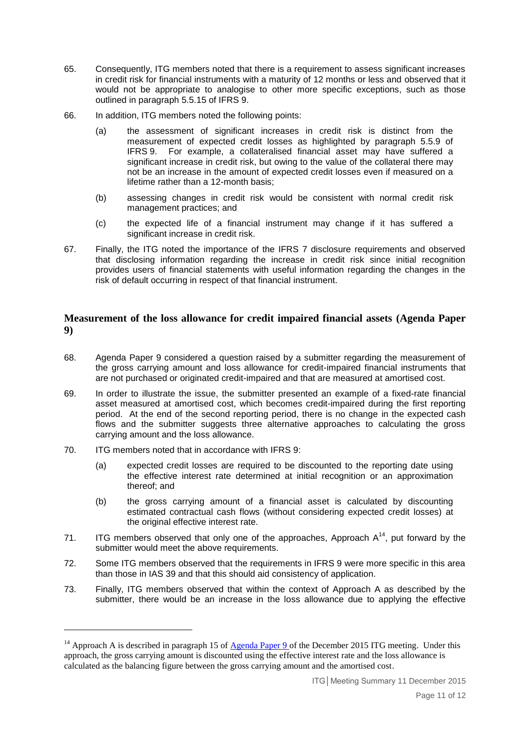- 65. Consequently, ITG members noted that there is a requirement to assess significant increases in credit risk for financial instruments with a maturity of 12 months or less and observed that it would not be appropriate to analogise to other more specific exceptions, such as those outlined in paragraph 5.5.15 of IFRS 9.
- 66. In addition, ITG members noted the following points:
	- (a) the assessment of significant increases in credit risk is distinct from the measurement of expected credit losses as highlighted by paragraph 5.5.9 of IFRS 9. For example, a collateralised financial asset may have suffered a significant increase in credit risk, but owing to the value of the collateral there may not be an increase in the amount of expected credit losses even if measured on a lifetime rather than a 12-month basis;
	- (b) assessing changes in credit risk would be consistent with normal credit risk management practices; and
	- (c) the expected life of a financial instrument may change if it has suffered a significant increase in credit risk.
- 67. Finally, the ITG noted the importance of the IFRS 7 disclosure requirements and observed that disclosing information regarding the increase in credit risk since initial recognition provides users of financial statements with useful information regarding the changes in the risk of default occurring in respect of that financial instrument.

## **Measurement of the loss allowance for credit impaired financial assets (Agenda Paper 9)**

- 68. Agenda Paper 9 considered a question raised by a submitter regarding the measurement of the gross carrying amount and loss allowance for credit-impaired financial instruments that are not purchased or originated credit-impaired and that are measured at amortised cost.
- 69. In order to illustrate the issue, the submitter presented an example of a fixed-rate financial asset measured at amortised cost, which becomes credit-impaired during the first reporting period. At the end of the second reporting period, there is no change in the expected cash flows and the submitter suggests three alternative approaches to calculating the gross carrying amount and the loss allowance.
- 70. ITG members noted that in accordance with IFRS 9:

<u>.</u>

- (a) expected credit losses are required to be discounted to the reporting date using the effective interest rate determined at initial recognition or an approximation thereof; and
- (b) the gross carrying amount of a financial asset is calculated by discounting estimated contractual cash flows (without considering expected credit losses) at the original effective interest rate.
- 71. ITG members observed that only one of the approaches, Approach  $A^{14}$ , put forward by the submitter would meet the above requirements.
- 72. Some ITG members observed that the requirements in IFRS 9 were more specific in this area than those in IAS 39 and that this should aid consistency of application.
- 73. Finally, ITG members observed that within the context of Approach A as described by the submitter, there would be an increase in the loss allowance due to applying the effective

<sup>&</sup>lt;sup>14</sup> Approach A is described in paragraph 15 of  $\frac{\text{Agenda Paper 9}}{\text{of the December 2015}}$  ITG meeting. Under this approach, the gross carrying amount is discounted using the effective interest rate and the loss allowance is calculated as the balancing figure between the gross carrying amount and the amortised cost.